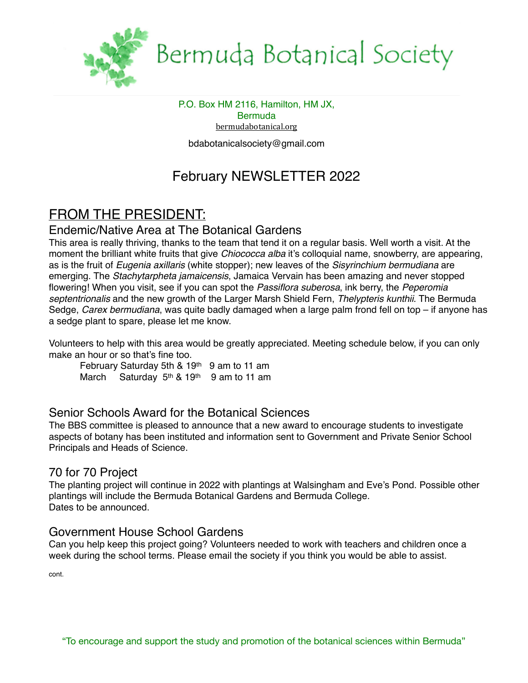

# Bermuda Botanical Society

P.O. Box HM 2116, Hamilton, HM JX, **Bermuda** [bermudabotanical.org](http://bermudabotanical.org) bdabotanicalsociety@gmail.com

## February NEWSLETTER 2022

### FROM THE PRESIDENT:

### Endemic/Native Area at The Botanical Gardens

This area is really thriving, thanks to the team that tend it on a regular basis. Well worth a visit. At the moment the brilliant white fruits that give *Chiococca alba* it's colloquial name, snowberry, are appearing, as is the fruit of *Eugenia axillaris* (white stopper); new leaves of the *Sisyrinchium bermudiana* are emerging. The *Stachytarpheta jamaicensis*, Jamaica Vervain has been amazing and never stopped flowering! When you visit, see if you can spot the *Passiflora suberosa*, ink berry, the *Peperomia septentrionalis* and the new growth of the Larger Marsh Shield Fern, *Thelypteris kunthii*. The Bermuda Sedge, *Carex bermudiana*, was quite badly damaged when a large palm frond fell on top – if anyone has a sedge plant to spare, please let me know.

Volunteers to help with this area would be greatly appreciated. Meeting schedule below, if you can only make an hour or so that's fine too.

February Saturday 5th & 19<sup>th</sup> 9 am to 11 am March Saturday 5<sup>th</sup> & 19<sup>th</sup> 9 am to 11 am

### Senior Schools Award for the Botanical Sciences

The BBS committee is pleased to announce that a new award to encourage students to investigate aspects of botany has been instituted and information sent to Government and Private Senior School Principals and Heads of Science.

### 70 for 70 Project

The planting project will continue in 2022 with plantings at Walsingham and Eve's Pond. Possible other plantings will include the Bermuda Botanical Gardens and Bermuda College. Dates to be announced.

### Government House School Gardens

Can you help keep this project going? Volunteers needed to work with teachers and children once a week during the school terms. Please email the society if you think you would be able to assist.

cont.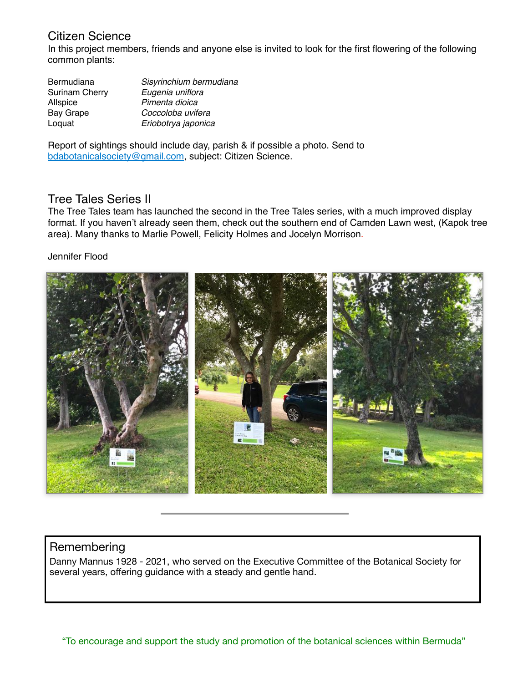### Citizen Science

In this project members, friends and anyone else is invited to look for the first flowering of the following common plants:

| Bermudiana            | Sisyrinchium bermudiana |
|-----------------------|-------------------------|
| <b>Surinam Cherry</b> | Eugenia uniflora        |
| Allspice              | Pimenta dioica          |
| <b>Bay Grape</b>      | Coccoloba uvifera       |
| Loquat                | Eriobotrya japonica     |

Report of sightings should include day, parish & if possible a photo. Send to [bdabotanicalsociety@gmail.com](mailto:bdabotanicalsociety@gmail.com), subject: Citizen Science.

#### Tree Tales Series II

The Tree Tales team has launched the second in the Tree Tales series, with a much improved display format. If you haven't already seen them, check out the southern end of Camden Lawn west, (Kapok tree area). Many thanks to Marlie Powell, Felicity Holmes and Jocelyn Morrison.

#### Jennifer Flood



#### **Remembering**

Danny Mannus 1928 - 2021, who served on the Executive Committee of the Botanical Society for several years, offering guidance with a steady and gentle hand.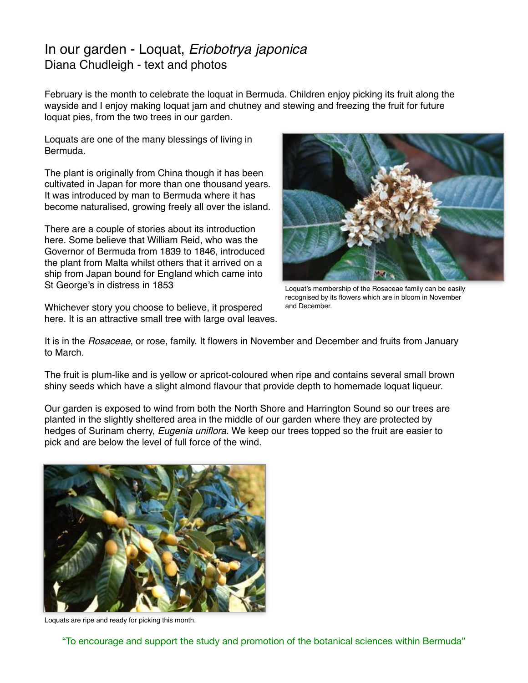### In our garden - Loquat, *Eriobotrya japonica* Diana Chudleigh - text and photos

February is the month to celebrate the loquat in Bermuda. Children enjoy picking its fruit along the wayside and I enjoy making loquat jam and chutney and stewing and freezing the fruit for future loquat pies, from the two trees in our garden.

Loquats are one of the many blessings of living in Bermuda.

The plant is originally from China though it has been cultivated in Japan for more than one thousand years. It was introduced by man to Bermuda where it has become naturalised, growing freely all over the island.

There are a couple of stories about its introduction here. Some believe that William Reid, who was the Governor of Bermuda from 1839 to 1846, introduced the plant from Malta whilst others that it arrived on a ship from Japan bound for England which came into St George's in distress in 1853

Whichever story you choose to believe, it prospered here. It is an attractive small tree with large oval leaves.



Loquat's membership of the Rosaceae family can be easily recognised by its flowers which are in bloom in November and December.

It is in the *Rosaceae*, or rose, family. It flowers in November and December and fruits from January to March.

The fruit is plum-like and is yellow or apricot-coloured when ripe and contains several small brown shiny seeds which have a slight almond flavour that provide depth to homemade loquat liqueur.

Our garden is exposed to wind from both the North Shore and Harrington Sound so our trees are planted in the slightly sheltered area in the middle of our garden where they are protected by hedges of Surinam cherry, *Eugenia uniflora*. We keep our trees topped so the fruit are easier to pick and are below the level of full force of the wind.



Loquats are ripe and ready for picking this month.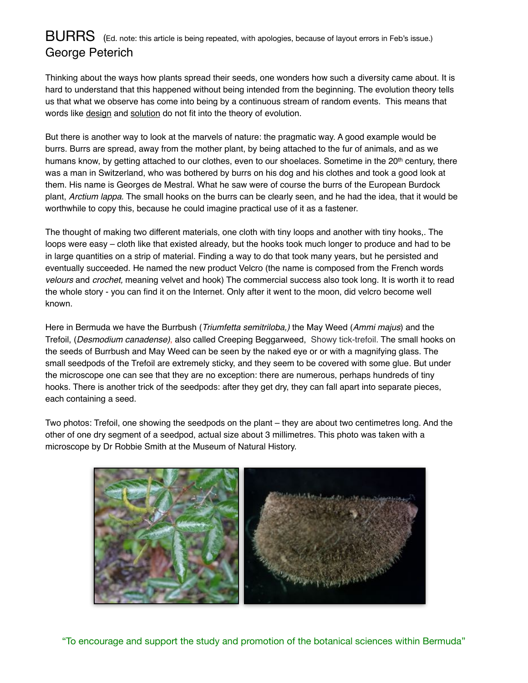### BURRS(Ed. note: this article is being repeated, with apologies, because of layout errors in Feb's issue.) George Peterich

Thinking about the ways how plants spread their seeds, one wonders how such a diversity came about. It is hard to understand that this happened without being intended from the beginning. The evolution theory tells us that what we observe has come into being by a continuous stream of random events. This means that words like design and solution do not fit into the theory of evolution.

But there is another way to look at the marvels of nature: the pragmatic way. A good example would be burrs. Burrs are spread, away from the mother plant, by being attached to the fur of animals, and as we humans know, by getting attached to our clothes, even to our shoelaces. Sometime in the 20<sup>th</sup> century, there was a man in Switzerland, who was bothered by burrs on his dog and his clothes and took a good look at them. His name is Georges de Mestral. What he saw were of course the burrs of the European Burdock plant, *Arctium lappa*. The small hooks on the burrs can be clearly seen, and he had the idea, that it would be worthwhile to copy this, because he could imagine practical use of it as a fastener.

The thought of making two different materials, one cloth with tiny loops and another with tiny hooks,. The loops were easy – cloth like that existed already, but the hooks took much longer to produce and had to be in large quantities on a strip of material. Finding a way to do that took many years, but he persisted and eventually succeeded. He named the new product Velcro (the name is composed from the French words *velours* and *crochet,* meaning velvet and hook) The commercial success also took long. It is worth it to read the whole story - you can find it on the Internet. Only after it went to the moon, did velcro become well known.

Here in Bermuda we have the Burrbush (*Triumfetta semitriloba,)* the May Weed (*Ammi majus*) and the Trefoil, (*Desmodium canadense)*, also called Creeping Beggarweed, Showy tick-trefoil. The small hooks on the seeds of Burrbush and May Weed can be seen by the naked eye or or with a magnifying glass. The small seedpods of the Trefoil are extremely sticky, and they seem to be covered with some glue. But under the microscope one can see that they are no exception: there are numerous, perhaps hundreds of tiny hooks. There is another trick of the seedpods: after they get dry, they can fall apart into separate pieces, each containing a seed.

Two photos: Trefoil, one showing the seedpods on the plant – they are about two centimetres long. And the other of one dry segment of a seedpod, actual size about 3 millimetres. This photo was taken with a microscope by Dr Robbie Smith at the Museum of Natural History.



"To encourage and support the study and promotion of the botanical sciences within Bermuda"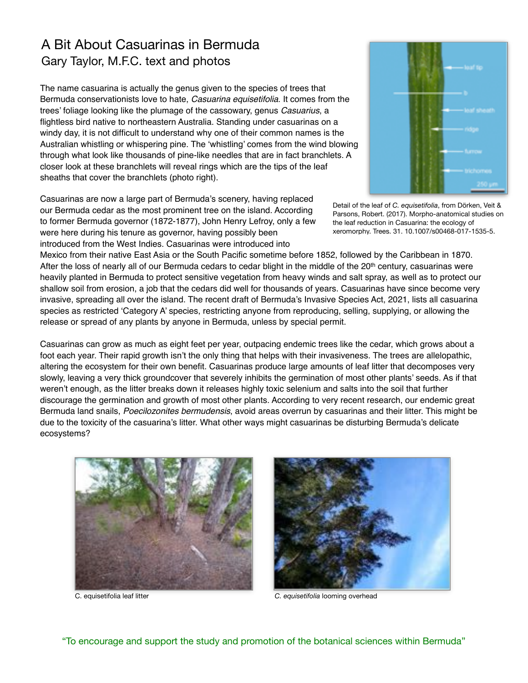### A Bit About Casuarinas in Bermuda Gary Taylor, M.F.C. text and photos

The name casuarina is actually the genus given to the species of trees that Bermuda conservationists love to hate, *Casuarina equisetifolia*. It comes from the trees' foliage looking like the plumage of the cassowary, genus *Casuarius*, a flightless bird native to northeastern Australia. Standing under casuarinas on a windy day, it is not difficult to understand why one of their common names is the Australian whistling or whispering pine. The 'whistling' comes from the wind blowing through what look like thousands of pine-like needles that are in fact branchlets. A closer look at these branchlets will reveal rings which are the tips of the leaf sheaths that cover the branchlets (photo right).

Casuarinas are now a large part of Bermuda's scenery, having replaced our Bermuda cedar as the most prominent tree on the island. According to former Bermuda governor (1872-1877), John Henry Lefroy, only a few were here during his tenure as governor, having possibly been

introduced from the West Indies. Casuarinas were introduced into

Detail of the leaf of *C. equisetifolia*, from Dörken, Veit & Parsons, Robert. (2017). Morpho-anatomical studies on the leaf reduction in Casuarina: the ecology of xeromorphy. Trees. 31. 10.1007/s00468-017-1535-5.

Mexico from their native East Asia or the South Pacific sometime before 1852, followed by the Caribbean in 1870. After the loss of nearly all of our Bermuda cedars to cedar blight in the middle of the 20<sup>th</sup> century, casuarinas were heavily planted in Bermuda to protect sensitive vegetation from heavy winds and salt spray, as well as to protect our shallow soil from erosion, a job that the cedars did well for thousands of years. Casuarinas have since become very invasive, spreading all over the island. The recent draft of Bermuda's Invasive Species Act, 2021, lists all casuarina species as restricted 'Category A' species, restricting anyone from reproducing, selling, supplying, or allowing the release or spread of any plants by anyone in Bermuda, unless by special permit.

Casuarinas can grow as much as eight feet per year, outpacing endemic trees like the cedar, which grows about a foot each year. Their rapid growth isn't the only thing that helps with their invasiveness. The trees are allelopathic, altering the ecosystem for their own benefit. Casuarinas produce large amounts of leaf litter that decomposes very slowly, leaving a very thick groundcover that severely inhibits the germination of most other plants' seeds. As if that weren't enough, as the litter breaks down it releases highly toxic selenium and salts into the soil that further discourage the germination and growth of most other plants. According to very recent research, our endemic great Bermuda land snails, *Poecilozonites bermudensis*, avoid areas overrun by casuarinas and their litter. This might be due to the toxicity of the casuarina's litter. What other ways might casuarinas be disturbing Bermuda's delicate ecosystems?





C. equisetifolia leaf litter *C. equisetifolia* looming overhead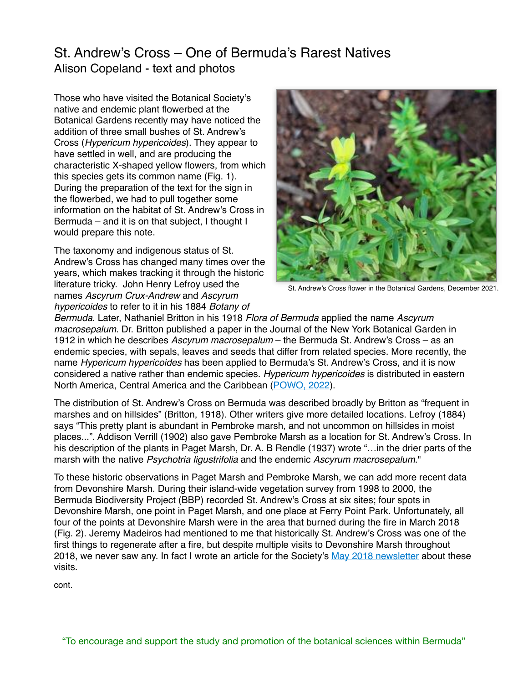### St. Andrew's Cross – One of Bermuda's Rarest Natives Alison Copeland - text and photos

Those who have visited the Botanical Society's native and endemic plant flowerbed at the Botanical Gardens recently may have noticed the addition of three small bushes of St. Andrew's Cross (*Hypericum hypericoides*). They appear to have settled in well, and are producing the characteristic X-shaped yellow flowers, from which this species gets its common name (Fig. 1). During the preparation of the text for the sign in the flowerbed, we had to pull together some information on the habitat of St. Andrew's Cross in Bermuda – and it is on that subject, I thought I would prepare this note.

The taxonomy and indigenous status of St. Andrew's Cross has changed many times over the years, which makes tracking it through the historic literature tricky. John Henry Lefroy used the names *Ascyrum Crux-Andrew* and *Ascyrum hypericoides* to refer to it in his 1884 *Botany of* 



St. Andrew's Cross flower in the Botanical Gardens, December 2021.

*Bermuda*. Later, Nathaniel Britton in his 1918 *Flora of Bermuda* applied the name *Ascyrum macrosepalum*. Dr. Britton published a paper in the Journal of the New York Botanical Garden in 1912 in which he describes *Ascyrum macrosepalum* – the Bermuda St. Andrew's Cross – as an endemic species, with sepals, leaves and seeds that differ from related species. More recently, the name *Hypericum hypericoides* has been applied to Bermuda's St. Andrew's Cross, and it is now considered a native rather than endemic species. *Hypericum hypericoides* is distributed in eastern North America, Central America and the Caribbean [\(POWO, 2022](https://powo.science.kew.org/taxon/urn:lsid:ipni.org:names:30080839-2)).

The distribution of St. Andrew's Cross on Bermuda was described broadly by Britton as "frequent in marshes and on hillsides" (Britton, 1918). Other writers give more detailed locations. Lefroy (1884) says "This pretty plant is abundant in Pembroke marsh, and not uncommon on hillsides in moist places...". Addison Verrill (1902) also gave Pembroke Marsh as a location for St. Andrew's Cross. In his description of the plants in Paget Marsh, Dr. A. B Rendle (1937) wrote "…in the drier parts of the marsh with the native *Psychotria ligustrifolia* and the endemic *Ascyrum macrosepalum*."

To these historic observations in Paget Marsh and Pembroke Marsh, we can add more recent data from Devonshire Marsh. During their island-wide vegetation survey from 1998 to 2000, the Bermuda Biodiversity Project (BBP) recorded St. Andrew's Cross at six sites; four spots in Devonshire Marsh, one point in Paget Marsh, and one place at Ferry Point Park. Unfortunately, all four of the points at Devonshire Marsh were in the area that burned during the fire in March 2018 (Fig. 2). Jeremy Madeiros had mentioned to me that historically St. Andrew's Cross was one of the first things to regenerate after a fire, but despite multiple visits to Devonshire Marsh throughout 2018, we never saw any. In fact I wrote an article for the Society's [May 2018 newsletter](https://www.bermudabotanicalsociety.org/wp-content/uploads/2019/03/BBS-2018-05.pdf) about these visits.

cont.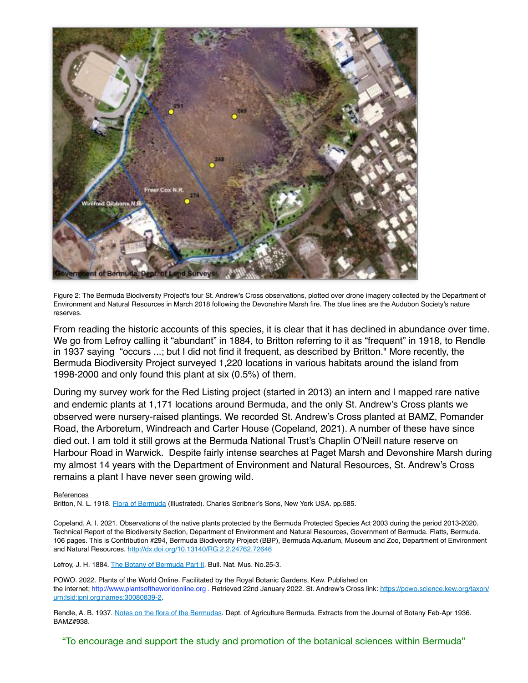

Figure 2: The Bermuda Biodiversity Project's four St. Andrew's Cross observations, plotted over drone imagery collected by the Department of Environment and Natural Resources in March 2018 following the Devonshire Marsh fire. The blue lines are the Audubon Society's nature reserves.

From reading the historic accounts of this species, it is clear that it has declined in abundance over time. We go from Lefroy calling it "abundant" in 1884, to Britton referring to it as "frequent" in 1918, to Rendle in 1937 saying "occurs ...; but I did not find it frequent, as described by Britton." More recently, the Bermuda Biodiversity Project surveyed 1,220 locations in various habitats around the island from 1998-2000 and only found this plant at six (0.5%) of them.

During my survey work for the Red Listing project (started in 2013) an intern and I mapped rare native and endemic plants at 1,171 locations around Bermuda, and the only St. Andrew's Cross plants we observed were nursery-raised plantings. We recorded St. Andrew's Cross planted at BAMZ, Pomander Road, the Arboretum, Windreach and Carter House (Copeland, 2021). A number of these have since died out. I am told it still grows at the Bermuda National Trust's Chaplin O'Neill nature reserve on Harbour Road in Warwick. Despite fairly intense searches at Paget Marsh and Devonshire Marsh during my almost 14 years with the Department of Environment and Natural Resources, St. Andrew's Cross remains a plant I have never seen growing wild.

#### **References**

Britton, N. L. 1918. [Flora of Bermuda](https://www.bermudabotanicalsociety.org/wp-content/uploads/2019/03/Flora-of-Bermuda-Britton.pdf) (Illustrated). Charles Scribner's Sons, New York USA. pp.585.

Copeland, A. I. 2021. Observations of the native plants protected by the Bermuda Protected Species Act 2003 during the period 2013-2020. Technical Report of the Biodiversity Section, Department of Environment and Natural Resources, Government of Bermuda. Flatts, Bermuda. 106 pages. This is Contribution #294, Bermuda Biodiversity Project (BBP), Bermuda Aquarium, Museum and Zoo, Department of Environment and Natural Resources. [http://dx.doi.org/10.13140/RG.2.2.24762.72646](http://dx.doi.org/10.13140/RG.2.2.24762.72646%20)

Lefroy, J. H. 1884. [The Botany of Bermuda Part II.](https://www.bermudabotanicalsociety.org/wp-content/uploads/2019/03/The-Botany-of-Bermuda-Lefroy-1884.pdf) Bull. Nat. Mus. No.25-3.

POWO. 2022. Plants of the World Online. Facilitated by the Royal Botanic Gardens, Kew. Published on the internet; http://www.plantsoftheworldonline.org . Retrieved 22nd January 2022. St. Andrew's Cross link: [https://powo.science.kew.org/taxon/](https://powo.science.kew.org/taxon/urn:lsid:ipni.org:names:30080839-2) [urn:lsid:ipni.org:names:30080839-2](https://powo.science.kew.org/taxon/urn:lsid:ipni.org:names:30080839-2).

Rendle, A. B. 1937. [Notes on the flora of the Bermudas](https://bermudabotanicalsociety.org/wp-content/uploads/2021/05/Flora-of-Bermuda-Rendle-1937.pdf). Dept. of Agriculture Bermuda. Extracts from the Journal of Botany Feb-Apr 1936. BAMZ#938.

"To encourage and support the study and promotion of the botanical sciences within Bermuda"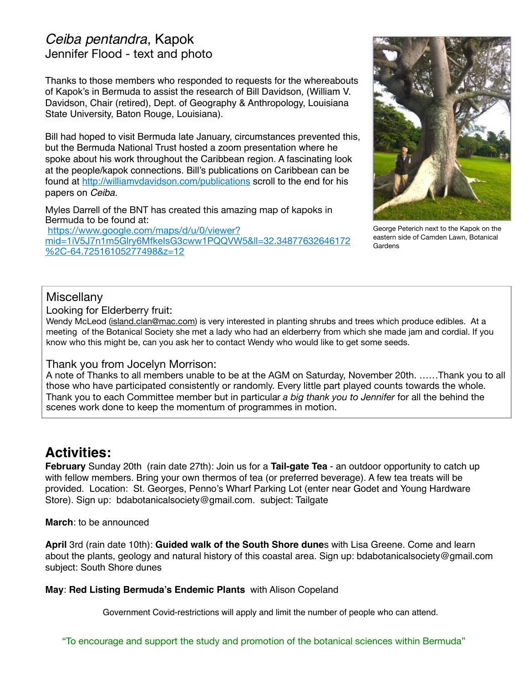### *Ceiba pentandra*, Kapok Jennifer Flood - text and photo

Thanks to those members who responded to requests for the whereabouts of Kapok's in Bermuda to assist the research of Bill Davidson, (William V. Davidson, Chair (retired), Dept. of Geography & Anthropology, Louisiana State University, Baton Rouge, Louisiana).

Bill had hoped to visit Bermuda late January, circumstances prevented this, but the Bermuda National Trust hosted a zoom presentation where he spoke about his work throughout the Caribbean region. A fascinating look at the people/kapok connections. Bill's publications on Caribbean can be found at<http://williamvdavidson.com/publications> scroll to the end for his papers on *Ceiba.*

Myles Darrell of the BNT has created this amazing map of kapoks in Bermuda to be found at:

[https://www.google.com/maps/d/u/0/viewer?](https://www.google.com/maps/d/u/0/viewer?mid=1iV5J7n1m5Glry6MfkeIsG3cww1PQQVW5&ll=32.34877632646172%2C-64.72516105277498&z=12) [mid=1iV5J7n1m5Glry6MfkeIsG3cww1PQQVW5&ll=32.34877632646172](https://www.google.com/maps/d/u/0/viewer?mid=1iV5J7n1m5Glry6MfkeIsG3cww1PQQVW5&ll=32.34877632646172%2C-64.72516105277498&z=12) [%2C-64.72516105277498&z=12](https://www.google.com/maps/d/u/0/viewer?mid=1iV5J7n1m5Glry6MfkeIsG3cww1PQQVW5&ll=32.34877632646172%2C-64.72516105277498&z=12)



George Peterich next to the Kapok on the eastern side of Camden Lawn, Botanical **Gardens** 

#### **Miscellany**

Looking for Elderberry fruit:

Wendy McLeod ([island.clan@mac.com](mailto:island.clan@mac.com)) is very interested in planting shrubs and trees which produce edibles. At a meeting of the Botanical Society she met a lady who had an elderberry from which she made jam and cordial. If you know who this might be, can you ask her to contact Wendy who would like to get some seeds.

#### Thank you from Jocelyn Morrison:

A note of Thanks to all members unable to be at the AGM on Saturday, November 20th. ……Thank you to all those who have participated consistently or randomly. Every little part played counts towards the whole. Thank you to each Committee member but in particular *a big thank you to Jennifer* for all the behind the scenes work done to keep the momentum of programmes in motion.

### **Activities:**

**February** Sunday 20th (rain date 27th): Join us for a **Tail-gate Tea** - an outdoor opportunity to catch up with fellow members. Bring your own thermos of tea (or preferred beverage). A few tea treats will be provided. Location: St. Georges, Penno's Wharf Parking Lot (enter near Godet and Young Hardware Store). Sign up: bdabotanicalsociety@gmail.com. subject: Tailgate

**March**: to be announced

**April** 3rd (rain date 10th): **Guided walk of the South Shore dune**s with Lisa Greene. Come and learn about the plants, geology and natural history of this coastal area. Sign up: bdabotanicalsociety@gmail.com subject: South Shore dunes

#### **May**: **Red Listing Bermuda's Endemic Plants** with Alison Copeland

Government Covid-restrictions will apply and limit the number of people who can attend.

"To encourage and support the study and promotion of the botanical sciences within Bermuda"